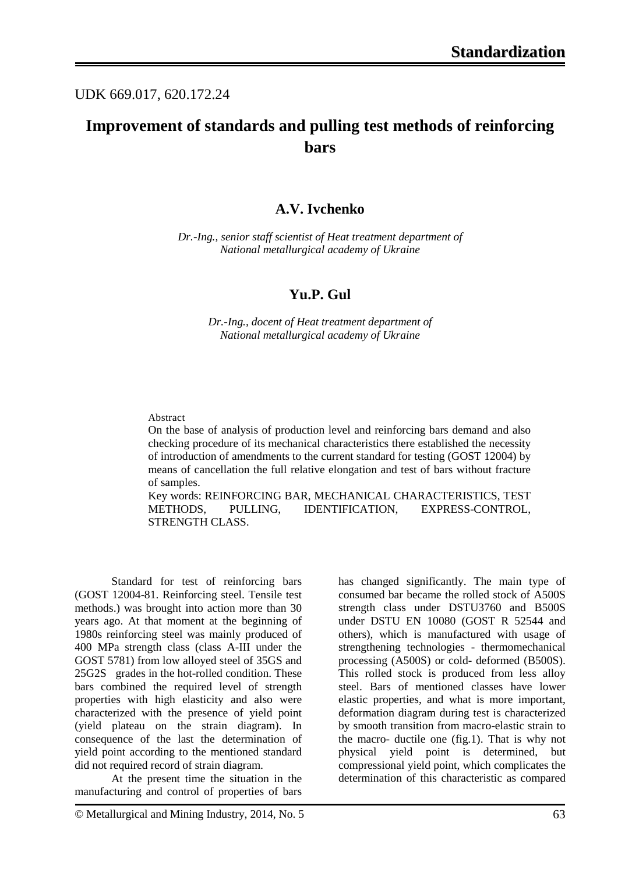## UDK 669.017, 620.172.24

# **Improvement of standards and pulling test methods of reinforcing bars**

## **A.V. Ivchenko**

*Dr.-Ing., senior staff scientist of Heat treatment department of National metallurgical academy of Ukraine*

### **Yu.P. Gul**

*Dr.-Ing., docent of Heat treatment department of National metallurgical academy of Ukraine*

#### Abstract

On the base of analysis of production level and reinforcing bars demand and also checking procedure of its mechanical characteristics there established the necessity of introduction of amendments to the current standard for testing (GOST 12004) by means of cancellation the full relative elongation and test of bars without fracture of samples.

Key words: REINFORCING BAR, MECHANICAL CHARACTERISTICS, TEST METHODS, PULLING, IDENTIFICATION, EXPRESS-CONTROL, STRENGTH CLASS.

Standard for test of reinforcing bars (GOST 12004-81. Reinforcing steel. Tensile test methods.) was brought into action more than 30 years ago. At that moment at the beginning of 1980s reinforcing steel was mainly produced of 400 MPa strength class (class A-III under the GOST 5781) from low alloyed steel of 35GS and 25G2S grades in the hot-rolled condition. These bars combined the required level of strength properties with high elasticity and also were characterized with the presence of yield point (yield plateau on the strain diagram). In consequence of the last the determination of yield point according to the mentioned standard did not required record of strain diagram.

At the present time the situation in the manufacturing and control of properties of bars

has changed significantly. The main type of consumed bar became the rolled stock of A500S strength class under DSTU3760 and B500S under DSTU EN 10080 (GOST R 52544 and others), which is manufactured with usage of strengthening technologies - thermomechanical processing (A500S) or cold- deformed (B500S). This rolled stock is produced from less alloy steel. Bars of mentioned classes have lower elastic properties, and what is more important, deformation diagram during test is characterized by smooth transition from macro-elastic strain to the macro- ductile one (fig.1). That is why not physical yield point is determined, but compressional yield point, which complicates the determination of this characteristic as compared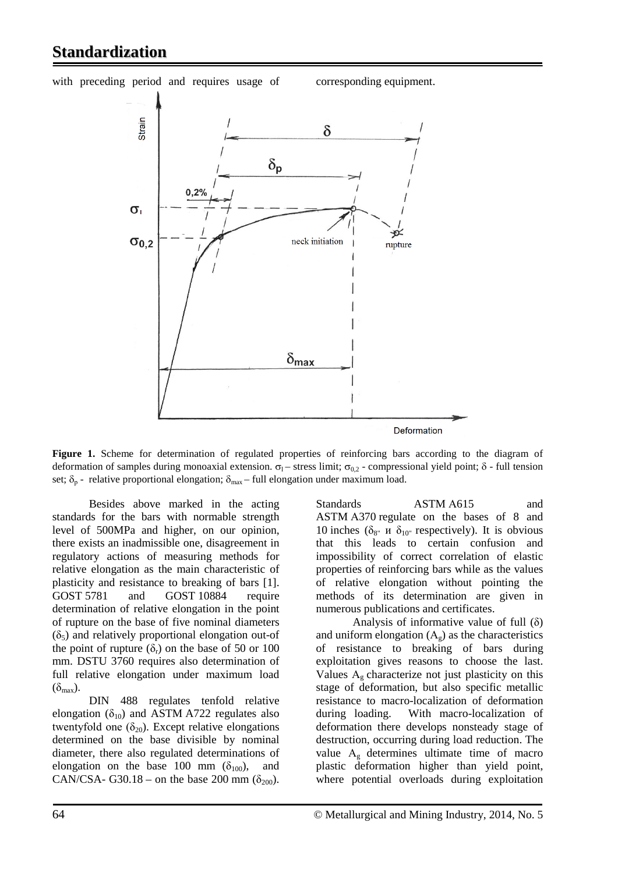## **Standardization**

with preceding period and requires usage of corresponding equipment.



Figure 1. Scheme for determination of regulated properties of reinforcing bars according to the diagram of deformation of samples during monoaxial extension.  $σ_1$  – stress limit;  $σ_{0,2}$  - compressional yield point; δ - full tension set;  $\delta_p$  - relative proportional elongation;  $\delta_{\text{max}}$  – full elongation under maximum load.

Besides above marked in the acting standards for the bars with normable strength level of 500MPa and higher, on our opinion, there exists an inadmissible one, disagreement in regulatory actions of measuring methods for relative elongation as the main characteristic of plasticity and resistance to breaking of bars [1]. GOST 5781 and GOST 10884 require determination of relative elongation in the point of rupture on the base of five nominal diameters  $(\delta_5)$  and relatively proportional elongation out-of the point of rupture  $(\delta_r)$  on the base of 50 or 100 mm. DSTU 3760 requires also determination of full relative elongation under maximum load  $(\delta_{\text{max}})$ .

DIN 488 regulates tenfold relative elongation ( $\delta_{10}$ ) and ASTM A722 regulates also twentyfold one  $(\delta_{20})$ . Except relative elongations determined on the base divisible by nominal diameter, there also regulated determinations of elongation on the base 100 mm  $(\delta_{100})$ , and CAN/CSA- G30.18 – on the base 200 mm ( $\delta_{200}$ ).

Standards ASTM A615 and ASTM А370 regulate on the bases of 8 and 10 inches ( $\delta_{8''}$  и  $\delta_{10''}$  respectively). It is obvious that this leads to certain confusion and impossibility of correct correlation of elastic properties of reinforcing bars while as the values of relative elongation without pointing the methods of its determination are given in numerous publications and certificates.

Analysis of informative value of full  $(\delta)$ and uniform elongation  $(A<sub>g</sub>)$  as the characteristics of resistance to breaking of bars during exploitation gives reasons to choose the last. Values  $A_g$  characterize not just plasticity on this stage of deformation, but also specific metallic resistance to macro-localization of deformation during loading. With macro-localization of deformation there develops nonsteady stage of destruction, occurring during load reduction. The value  $A_g$  determines ultimate time of macro plastic deformation higher than yield point, where potential overloads during exploitation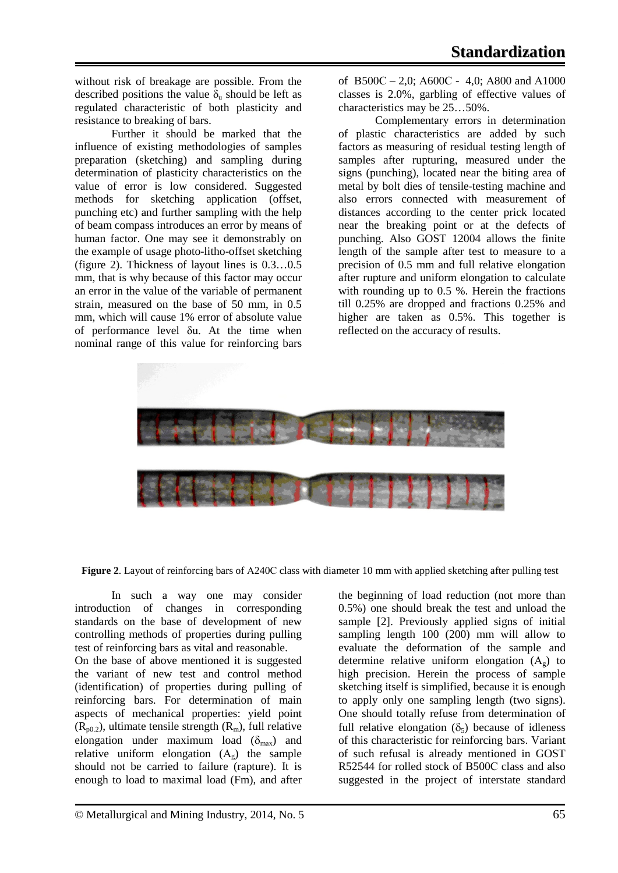without risk of breakage are possible. From the described positions the value  $\delta_u$  should be left as regulated characteristic of both plasticity and resistance to breaking of bars.

Further it should be marked that the influence of existing methodologies of samples preparation (sketching) and sampling during determination of plasticity characteristics on the value of error is low considered. Suggested methods for sketching application (offset, punching etc) and further sampling with the help of beam compass introduces an error by means of human factor. One may see it demonstrably on the example of usage photo-litho-offset sketching (figure 2). Thickness of layout lines is 0.3…0.5 mm, that is why because of this factor may occur an error in the value of the variable of permanent strain, measured on the base of 50 mm, in 0.5 mm, which will cause 1% error of absolute value of performance level δu. At the time when nominal range of this value for reinforcing bars of B500C – 2,0; A600C - 4,0; A800 and A1000 classes is 2.0%, garbling of effective values of characteristics may be 25…50%.

Complementary errors in determination of plastic characteristics are added by such factors as measuring of residual testing length of samples after rupturing, measured under the signs (punching), located near the biting area of metal by bolt dies of tensile-testing machine and also errors connected with measurement of distances according to the center prick located near the breaking point or at the defects of punching. Also GOST 12004 allows the finite length of the sample after test to measure to a precision of 0.5 mm and full relative elongation after rupture and uniform elongation to calculate with rounding up to 0.5 %. Herein the fractions till 0.25% are dropped and fractions 0.25% and higher are taken as 0.5%. This together is reflected on the accuracy of results.



**Figure 2**. Layout of reinforcing bars of А240С class with diameter 10 mm with applied sketching after pulling test

In such a way one may consider introduction of changes in corresponding standards on the base of development of new controlling methods of properties during pulling test of reinforcing bars as vital and reasonable.

On the base of above mentioned it is suggested the variant of new test and control method (identification) of properties during pulling of reinforcing bars. For determination of main aspects of mechanical properties: yield point  $(R_{n0.2})$ , ultimate tensile strength  $(R_m)$ , full relative elongation under maximum load  $(\delta_{\text{max}})$  and relative uniform elongation  $(A_g)$  the sample should not be carried to failure (rapture). It is enough to load to maximal load (Fm), and after the beginning of load reduction (not more than 0.5%) one should break the test and unload the sample [2]. Previously applied signs of initial sampling length 100 (200) mm will allow to evaluate the deformation of the sample and determine relative uniform elongation  $(A_{\alpha})$  to high precision. Herein the process of sample sketching itself is simplified, because it is enough to apply only one sampling length (two signs). One should totally refuse from determination of full relative elongation  $(\delta_5)$  because of idleness of this characteristic for reinforcing bars. Variant of such refusal is already mentioned in GOST R52544 for rolled stock of B500C class and also suggested in the project of interstate standard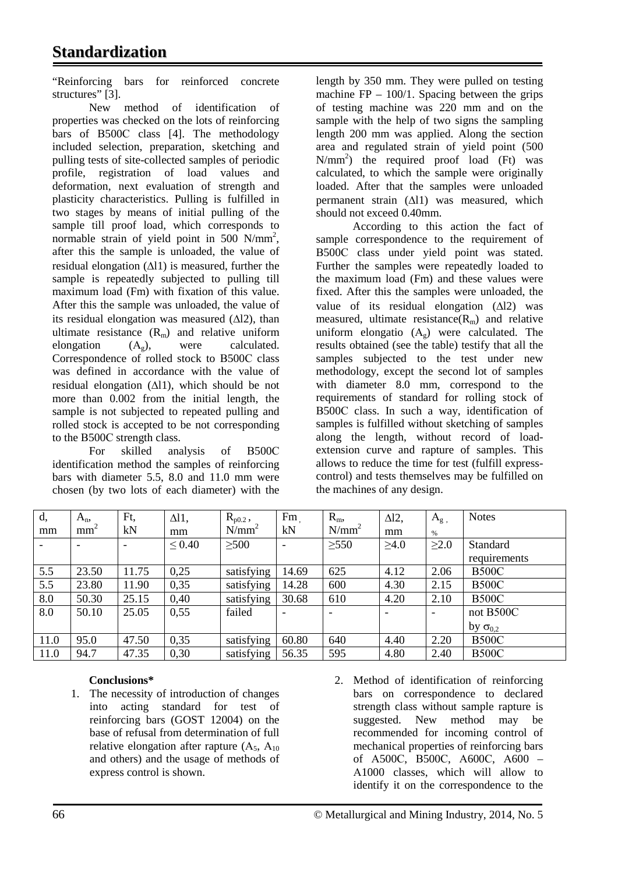# **Standardization**

"Reinforcing bars for reinforced concrete structures" [3].

New method of identification of properties was checked on the lots of reinforcing bars of В500С class [4]. The methodology included selection, preparation, sketching and pulling tests of site-collected samples of periodic profile, registration of load values and deformation, next evaluation of strength and plasticity characteristics. Pulling is fulfilled in two stages by means of initial pulling of the sample till proof load, which corresponds to normable strain of yield point in 500  $N/mm^2$ , after this the sample is unloaded, the value of residual elongation (∆l1) is measured, further the sample is repeatedly subjected to pulling till maximum load (Fm) with fixation of this value. After this the sample was unloaded, the value of its residual elongation was measured (∆l2), than ultimate resistance  $(R_m)$  and relative uniform<br>elongation  $(A_\circ)$ , were calculated.  $(A_{\alpha})$ , were calculated. Correspondence of rolled stock to В500С class was defined in accordance with the value of residual elongation (∆l1), which should be not more than 0.002 from the initial length, the sample is not subjected to repeated pulling and rolled stock is accepted to be not corresponding to the В500С strength class.

For skilled analysis of В500С identification method the samples of reinforcing bars with diameter 5.5, 8.0 and 11.0 mm were chosen (by two lots of each diameter) with the

length by 350 mm. They were pulled on testing machine  $FP - 100/1$ . Spacing between the grips of testing machine was 220 mm and on the sample with the help of two signs the sampling length 200 mm was applied. Along the section area and regulated strain of yield point (500 N/mm2 ) the required proof load (Ft) was calculated, to which the sample were originally loaded. After that the samples were unloaded permanent strain (∆l1) was measured, which should not exceed 0.40mm.

According to this action the fact of sample correspondence to the requirement of В500С class under yield point was stated. Further the samples were repeatedly loaded to the maximum load (Fm) and these values were fixed. After this the samples were unloaded, the value of its residual elongation (∆l2) was measured, ultimate resistance $(R_m)$  and relative uniform elongatio  $(A_g)$  were calculated. The results obtained (see the table) testify that all the samples subjected to the test under new methodology, except the second lot of samples with diameter 8.0 mm, correspond to the requirements of standard for rolling stock of В500С class. In such a way, identification of samples is fulfilled without sketching of samples along the length, without record of loadextension curve and rapture of samples. This allows to reduce the time for test (fulfill expresscontrol) and tests themselves may be fulfilled on the machines of any design.

| d,   | $A_{n}$                  | Ft,                      | $\Delta$ ll, | $R_{p0.2}$ , | Fm    | $R_m$      | $\Delta$ 12, | $A_g$ ,    | <b>Notes</b>      |
|------|--------------------------|--------------------------|--------------|--------------|-------|------------|--------------|------------|-------------------|
| mm   | mm <sup>2</sup>          | kN                       | mm           | $N/mm^2$     | kN    | $N/mm^2$   | mm           | $\%$       |                   |
|      | $\overline{\phantom{a}}$ | $\overline{\phantom{a}}$ | $\leq 0.40$  | $\geq 500$   |       | $\geq 550$ | $\geq 4.0$   | $\geq 2.0$ | Standard          |
|      |                          |                          |              |              |       |            |              |            | requirements      |
| 5.5  | 23.50                    | 11.75                    | 0,25         | satisfying   | 14.69 | 625        | 4.12         | 2.06       | <b>B500C</b>      |
| 5.5  | 23.80                    | 11.90                    | 0,35         | satisfying   | 14.28 | 600        | 4.30         | 2.15       | <b>B500C</b>      |
| 8.0  | 50.30                    | 25.15                    | 0,40         | satisfying   | 30.68 | 610        | 4.20         | 2.10       | <b>B500C</b>      |
| 8.0  | 50.10                    | 25.05                    | 0,55         | failed       |       |            |              |            | not B500C         |
|      |                          |                          |              |              |       |            |              |            | by $\sigma_{0,2}$ |
| 11.0 | 95.0                     | 47.50                    | 0,35         | satisfying   | 60.80 | 640        | 4.40         | 2.20       | <b>B500C</b>      |
| 11.0 | 94.7                     | 47.35                    | 0,30         | satisfying   | 56.35 | 595        | 4.80         | 2.40       | <b>B500C</b>      |

#### **Conclusions\***

- 1. The necessity of introduction of changes into acting standard for test of reinforcing bars (GOST 12004) on the base of refusal from determination of full relative elongation after rapture  $(A_5, A_{10})$ and others) and the usage of methods of express control is shown.
- 2. Method of identification of reinforcing bars on correspondence to declared strength class without sample rapture is suggested. New method may be recommended for incoming control of mechanical properties of reinforcing bars of А500С, В500С, А600С, А600 – А1000 classes, which will allow to identify it on the correspondence to the